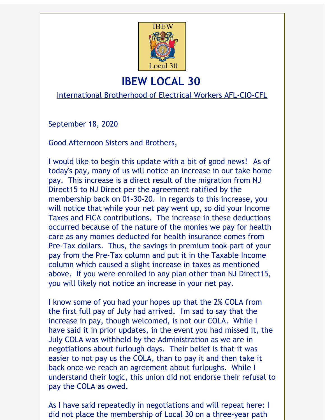

## **IBEW LOCAL 30**

International Brotherhood of Electrical Workers AFL-CIO-CFL

September 18, 2020

Good Afternoon Sisters and Brothers,

I would like to begin this update with a bit of good news! As of today's pay, many of us will notice an increase in our take home pay. This increase is a direct result of the migration from NJ Direct15 to NJ Direct per the agreement ratified by the membership back on 01-30-20. In regards to this increase, you will notice that while your net pay went up, so did your Income Taxes and FICA contributions. The increase in these deductions occurred because of the nature of the monies we pay for health care as any monies deducted for health insurance comes from Pre-Tax dollars. Thus, the savings in premium took part of your pay from the Pre-Tax column and put it in the Taxable Income column which caused a slight increase in taxes as mentioned above. If you were enrolled in any plan other than NJ Direct15, you will likely not notice an increase in your net pay.

I know some of you had your hopes up that the 2% COLA from the first full pay of July had arrived. I'm sad to say that the increase in pay, though welcomed, is not our COLA. While I have said it in prior updates, in the event you had missed it, the July COLA was withheld by the Administration as we are in negotiations about furlough days. Their belief is that it was easier to not pay us the COLA, than to pay it and then take it back once we reach an agreement about furloughs. While I understand their logic, this union did not endorse their refusal to pay the COLA as owed.

As I have said repeatedly in negotiations and will repeat here: I did not place the membership of Local 30 on a three-year path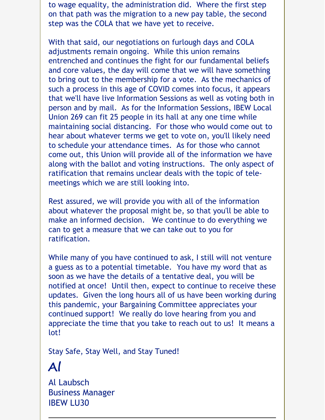to wage equality, the administration did. Where the first step on that path was the migration to a new pay table, the second step was the COLA that we have yet to receive.

With that said, our negotiations on furlough days and COLA adjustments remain ongoing. While this union remains entrenched and continues the fight for our fundamental beliefs and core values, the day will come that we will have something to bring out to the membership for a vote. As the mechanics of such a process in this age of COVID comes into focus, it appears that we'll have live Information Sessions as well as voting both in person and by mail. As for the Information Sessions, IBEW Local Union 269 can fit 25 people in its hall at any one time while maintaining social distancing. For those who would come out to hear about whatever terms we get to vote on, you'll likely need to schedule your attendance times. As for those who cannot come out, this Union will provide all of the information we have along with the ballot and voting instructions. The only aspect of ratification that remains unclear deals with the topic of telemeetings which we are still looking into.

Rest assured, we will provide you with all of the information about whatever the proposal might be, so that you'll be able to make an informed decision. We continue to do everything we can to get a measure that we can take out to you for ratification.

While many of you have continued to ask, I still will not venture a guess as to a potential timetable. You have my word that as soon as we have the details of a tentative deal, you will be notified at once! Until then, expect to continue to receive these updates. Given the long hours all of us have been working during this pandemic, your Bargaining Committee appreciates your continued support! We really do love hearing from you and appreciate the time that you take to reach out to us! It means a lot!

Stay Safe, Stay Well, and Stay Tuned!

## Al

Al Laubsch Business Manager IBEW LU30